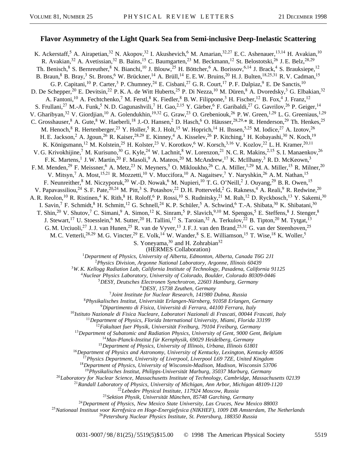## **Flavor Asymmetry of the Light Quark Sea from Semi-inclusive Deep-Inelastic Scattering**

K. Ackerstaff,<sup>5</sup> A. Airapetian,<sup>32</sup> N. Akopov,<sup>32</sup> I. Akushevich,<sup>6</sup> M. Amarian,<sup>32,27</sup> E.C. Ashenauer,<sup>13,14</sup> H. Avakian,<sup>10</sup> R. Avakian,<sup>32</sup> A. Avetissian,<sup>32</sup> B. Bains,<sup>15</sup> C. Baumgarten,<sup>23</sup> M. Beckmann,<sup>12</sup> St. Belostotski,<sup>26</sup> J. E. Belz,<sup>28,29</sup> Th. Benisch,<sup>8</sup> S. Bernreuther,<sup>8</sup> N. Bianchi,<sup>10</sup> J. Blouw,<sup>25</sup> H. Böttcher,<sup>6</sup> A. Borissov,<sup>6,14</sup> J. Brack,<sup>4</sup> S. Brauksiepe,<sup>12</sup> B. Braun,<sup>8</sup> B. Bray,<sup>3</sup> St. Brons,<sup>6</sup> W. Brückner,<sup>14</sup> A. Brüll,<sup>14</sup> E. E. W. Bruins,<sup>20</sup> H. J. Bulten,<sup>18,25,31</sup> R. V. Cadman,<sup>15</sup> G. P. Capitani,<sup>10</sup> P. Carter,<sup>3</sup> P. Chumney,<sup>24</sup> E. Cisbani,<sup>27</sup> G. R. Court,<sup>17</sup> P. F. Dalpiaz,<sup>9</sup> E. De Sanctis,<sup>10</sup> D. De Schepper,<sup>20</sup> E. Devitsin,<sup>22</sup> P. K. A. de Witt Huberts,<sup>25</sup> P. Di Nezza,<sup>10</sup> M. Düren,<sup>8</sup> A. Dvoredsky,<sup>3</sup> G. Elbakian,<sup>32</sup> A. Fantoni,<sup>10</sup> A. Fechtchenko,<sup>7</sup> M. Ferstl,<sup>8</sup> K. Fiedler,<sup>8</sup> B. W. Filippone,<sup>3</sup> H. Fischer,<sup>12</sup> B. Fox,<sup>4</sup> J. Franz,<sup>12</sup> S. Frullani,<sup>27</sup> M.-A. Funk,<sup>5</sup> N. D. Gagunashvili,<sup>7</sup> H. Gao,<sup>2,15</sup> Y. Gärber,<sup>6</sup> F. Garibaldi,<sup>27</sup> G. Gavrilov,<sup>26</sup> P. Geiger,<sup>14</sup> V. Gharibyan,<sup>32</sup> V. Giordjian,<sup>10</sup> A. Golendukhin,<sup>19,32</sup> G. Graw,<sup>23</sup> O. Grebeniouk,<sup>26</sup> P. W. Green,<sup>1,29</sup> L. G. Greeniaus,<sup>1,29</sup> C. Grosshauser, <sup>8</sup> A. Gute, <sup>8</sup> W. Haeberli, <sup>18</sup> J.-O. Hansen, <sup>2</sup> D. Hasch, <sup>6</sup> O. Häusser, <sup>28, 29, \*</sup> R. Henderson, <sup>29</sup> Th. Henkes, <sup>25</sup> M. Henoch,<sup>8</sup> R. Hertenberger,<sup>23</sup> Y. Holler,<sup>5</sup> R. J. Holt,<sup>15</sup> W. Hoprich,<sup>14</sup> H. Ihssen,<sup>5,25</sup> M. Iodice,<sup>27</sup> A. Izotov,<sup>26</sup> H. E. Jackson,<sup>2</sup> A. Jgoun,<sup>26</sup> R. Kaiser,<sup>28,29</sup> E. Kinney,<sup>4</sup> A. Kisselev,<sup>26</sup> P. Kitching,<sup>1</sup> H. Kobayashi,<sup>30</sup> N. Koch,<sup>19</sup> K. Königsmann,<sup>12</sup> M. Kolstein,<sup>25</sup> H. Kolster,<sup>23</sup> V. Korotkov,<sup>6</sup> W. Korsch,<sup>3,16</sup> V. Kozlov,<sup>22</sup> L. H. Kramer,<sup>20,11</sup> V. G. Krivokhijine,<sup>7</sup> M. Kurisuno,<sup>30</sup> G. Kyle,<sup>24</sup> W. Lachnit,<sup>8</sup> W. Lorenzon,<sup>21</sup> N. C. R. Makins,<sup>2,15</sup> S. I. Manaenkov,<sup>26</sup> F. K. Martens,<sup>1</sup> J. W. Martin,<sup>20</sup> F. Masoli,<sup>9</sup> A. Mateos,<sup>20</sup> M. McAndrew,<sup>17</sup> K. McIlhany,<sup>3</sup> R. D. McKeown,<sup>3</sup> F. M. Menden,<sup>29</sup> F. Meissner,<sup>6</sup> A. Metz,<sup>23</sup> N. Meyners,<sup>5</sup> O. Mikloukho,<sup>26</sup> C. A. Miller,<sup>1,29</sup> M. A. Miller,<sup>15</sup> R. Milner,<sup>20</sup> V. Mitsyn,<sup>7</sup> A. Most,<sup>15,21</sup> R. Mozzetti,<sup>10</sup> V. Muccifora,<sup>10</sup> A. Nagaitsev,<sup>7</sup> Y. Naryshkin,<sup>26</sup> A. M. Nathan,<sup>15</sup> F. Neunreither,<sup>8</sup> M. Niczyporuk,<sup>20</sup> W.-D. Nowak,<sup>6</sup> M. Nupieri,<sup>10</sup> T. G. O'Neill,<sup>2</sup> J. Ouyang,<sup>29</sup> B. R. Owen,<sup>15</sup> V. Papavassiliou,<sup>24</sup> S. F. Pate,<sup>20,24</sup> M. Pitt,<sup>3</sup> S. Potashov,<sup>22</sup> D. H. Potterveld,<sup>2</sup> G. Rakness,<sup>4</sup> A. Reali,<sup>9</sup> R. Redwine,<sup>20</sup> A. R. Reolon,<sup>10</sup> R. Ristinen,<sup>4</sup> K. Rith,<sup>8</sup> H. Roloff,<sup>6</sup> P. Rossi,<sup>10</sup> S. Rudnitsky,<sup>21</sup> M. Ruh,<sup>12</sup> D. Ryckbosch,<sup>13</sup> Y. Sakemi,<sup>30</sup> I. Savin,<sup>7</sup> F. Schmidt,<sup>8</sup> H. Schmitt,<sup>12</sup> G. Schnell,<sup>24</sup> K. P. Schüler,<sup>5</sup> A. Schwind,<sup>6</sup> T.-A. Shibata,<sup>30</sup> K. Shibatani,<sup>30</sup> T. Shin,<sup>20</sup> V. Shutov,<sup>7</sup> C. Simani,<sup>9</sup> A. Simon,<sup>12</sup> K. Sinram,<sup>5</sup> P. Slavich,<sup>9,10</sup> M. Spengos,<sup>5</sup> E. Steffens,<sup>8</sup> J. Stenger,<sup>8</sup> J. Stewart,<sup>17</sup> U. Stoesslein,<sup>6</sup> M. Sutter,<sup>20</sup> H. Tallini,<sup>17</sup> S. Taroian,<sup>32</sup> A. Terkulov,<sup>22</sup> B. Tipton,<sup>20</sup> M. Tytgat,<sup>13</sup> G. M. Urciuoli,<sup>27</sup> J. J. van Hunen,<sup>25</sup> R. van de Vyver,<sup>13</sup> J. F. J. van den Brand,<sup>25,31</sup> G. van der Steenhoven,<sup>25</sup> M. C. Vetterli,<sup>28,29</sup> M. G. Vincter,<sup>29</sup> E. Volk,<sup>14</sup> W. Wander,<sup>8</sup> S. E. Williamson,<sup>15</sup> T. Wise,<sup>18</sup> K. Woller,<sup>5</sup> S. Yoneyama,  $30$  and H. Zohrabian $32$ (HERMES Collaboration)

<sup>1</sup>*Department of Physics, University of Alberta, Edmonton, Alberta, Canada T6G 2J1*

<sup>2</sup>*Physics Division, Argonne National Laboratory, Argonne, Illinois 60439*

<sup>3</sup>*W. K. Kellogg Radiation Lab, California Institute of Technology, Pasadena, California 91125*

<sup>4</sup>*Nuclear Physics Laboratory, University of Colorado, Boulder, Colorado 80309-0446*

<sup>5</sup>*DESY, Deutsches Electronen Synchrotron, 22603 Hamburg, Germany*

<sup>6</sup>*DESY, 15738 Zeuthen, Germany*

<sup>7</sup>*Joint Institute for Nuclear Research, 141980 Dubna, Russia*

<sup>8</sup>*Physikalisches Institut, Universität Erlangen-Nürnberg, 91058 Erlangen, Germany*

<sup>9</sup>*Dipartimento di Fisica, Università di Ferrara, 44100 Ferrara, Italy*

<sup>10</sup>*Istituto Nazionale di Fisica Nucleare, Laboratori Nazionali di Frascati, 00044 Frascati, Italy*

<sup>11</sup>*Department of Physics, Florida International University, Miami, Florida 33199*

<sup>12</sup>*Fakultaet fuer Physik, Universität Freiburg, 79104 Freiburg, Germany*

<sup>13</sup>*Department of Subatomic and Radiation Physics, University of Gent, 9000 Gent, Belgium*

<sup>14</sup>*Max-Planck-Institut f ür Kernphysik, 69029 Heidelberg, Germany*

<sup>15</sup>*Department of Physics, University of Illinois, Urbana, Illinois 61801*

<sup>16</sup>*Department of Physics and Astronomy, University of Kentucky, Lexington, Kentucky 40506*

<sup>17</sup>*Physics Department, University of Liverpool, Liverpool L69 7ZE, United Kingdom*

<sup>18</sup>*Department of Physics, University of Wisconsin-Madison, Madison, Wisconsin 53706*

<sup>19</sup>*Physikalisches Institut, Philipps-Universität Marburg, 35037 Marburg, Germany*

<sup>20</sup>*Laboratory for Nuclear Science, Massachusetts Institute of Technology, Cambridge, Massachusetts 02139*

<sup>21</sup>*Randall Laboratory of Physics, University of Michigan, Ann Arbor, Michigan 48109-1120*

<sup>22</sup>*Lebedev Physical Institute, 117924 Moscow, Russia*

<sup>23</sup>*Sektion Physik, Universität München, 85748 Garching, Germany*

<sup>24</sup>*Department of Physics, New Mexico State University, Las Cruces, New Mexico 88003*

<sup>25</sup>*Nationaal Instituut voor Kernfysica en Hoge-Energiefysica (NIKHEF), 1009 DB Amsterdam, The Netherlands*

<sup>26</sup>*Petersburg Nuclear Physics Institute, St. Petersburg, 188350 Russia*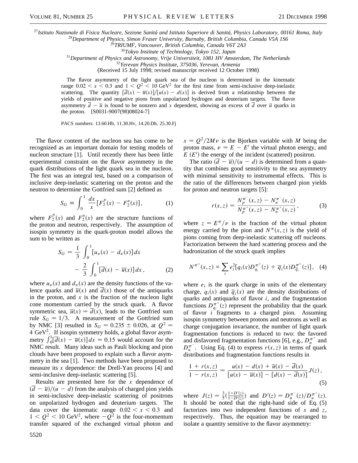<sup>27</sup>*Istituto Nazionale di Fisica Nucleare, Sezione Sanitá and Istituto Superiore di Sanitá, Physics Laboratory, 00161 Roma, Italy* <sup>28</sup>*Department of Physics, Simon Fraser University, Burnaby, British Columbia, Canada V5A 1S6*

<sup>29</sup>*TRIUMF, Vancouver, British Columbia, Canada V6T 2A3*

<sup>30</sup>*Tokyo Institute of Technology, Tokyo 152, Japan*

<sup>31</sup>*Department of Physics and Astronomy, Vrije Universiteit, 1081 HV Amsterdam, The Netherlands*

<sup>32</sup>*Yerevan Physics Institute, 375036, Yerevan, Armenia*

(Received 15 July 1998; revised manuscript received 12 October 1998)

The flavor asymmetry of the light quark sea of the nucleon is determined in the kinematic range  $0.02 < x < 0.3$  and  $1 < Q^2 < 10 \text{ GeV}^2$  for the first time from semi-inclusive deep-inelastic scattering. The quantity  $[\overline{d}(x) - \overline{u}(x)]/[u(x) - d(x)]$  is derived from a relationship between the yields of positive and negative pions from unpolarized hydrogen and deuterium targets. The flavor asymmetry  $\overline{d} - \overline{u}$  is found to be nonzero and x dependent, showing an excess of  $\overline{d}$  over  $\overline{u}$  quarks in the proton. [S0031-9007(98)08024-7]

PACS numbers: 13.60.Hb, 11.30.Hv, 14.20.Dh, 25.30.Fj

The flavor content of the nucleon sea has come to be recognized as an important domain for testing models of nucleon structure [1]. Until recently there has been little experimental constraint on the flavor asymmetry in the quark distributions of the light quark sea in the nucleon. The first was an integral test, based on a comparison of inclusive deep-inelastic scattering on the proton and the neutron to determine the Gottfried sum [2] defined as

$$
S_G \equiv \int_0^1 \frac{dx}{x} \left[ F_2^p(x) - F_2^n(x) \right], \tag{1}
$$

where  $F_2^p(x)$  and  $F_2^n(x)$  are the structure functions of the proton and neutron, respectively. The assumption of isospin symmetry in the quark-proton model allows the sum to be written as

$$
S_G = \frac{1}{3} \int_0^1 [u_v(x) - d_v(x)] dx
$$
  
 
$$
- \frac{2}{3} \int_0^1 [\overline{d}(x) - \overline{u}(x)] dx, \qquad (2)
$$

where  $u_y(x)$  and  $d_y(x)$  are the density functions of the valence quarks and  $\overline{u}(x)$  and  $d(x)$  those of the antiquarks in the proton, and *x* is the fraction of the nucleon light cone momentum carried by the struck quark. A flavor symmetric sea,  $\overline{u}(x) = \overline{d}(x)$ , leads to the Gottfried sum rule  $S_G = 1/3$ . A measurement of the Gottfried sum by NMC [3] resulted in  $S_G = 0.235 \pm 0.026$ , at  $Q^2 =$ 4 GeV<sup>2</sup>. If isospin symmetry holds, a global flavor asym- $\int_0^1 \frac{d\vec{a}}{dt} dx$  –  $\bar{u}(x) dx$   $\approx 0.15$  would account for the NMC result. Many ideas such as Pauli blocking and pion clouds have been proposed to explain such a flavor asymmetry in the sea [1]. Two methods have been proposed to measure its *x* dependence: the Drell-Yan process [4] and semi-inclusive deep-inelastic scattering [5].

Results are presented here for the *x* dependence of  $\left(\overline{d} - \overline{u}\right)/(u - d)$  from the analysis of charged pion yields in semi-inclusive deep-inelastic scattering of positrons on unpolarized hydrogen and deuterium targets. The data cover the kinematic range  $0.02 \le x \le 0.3$  and  $1 < Q^2 < 10$  GeV<sup>2</sup>, where  $-Q^2$  is the four-momentum transfer squared of the exchanged virtual photon and  $x = Q^2/2M\nu$  is the Bjorken variable with *M* being the proton mass,  $\nu = E - E'$  the virtual photon energy, and  $E(E')$  the energy of the incident (scattered) positron.

The ratio  $(\overline{d} - \overline{u})/(u - d)$  is determined from a quantity that combines good sensitivity to the sea asymmetry with minimal sensitivity to instrumental effects. This is the ratio of the differences between charged pion yields for proton and neutron targets [5]:

$$
r(x, z) = \frac{N_p^{\pi^-}(x, z) - N_n^{\pi^-}(x, z)}{N_p^{\pi^+}(x, z) - N_n^{\pi^+}(x, z)},
$$
(3)

where  $z = E^{\pi}/\nu$  is the fraction of the virtual photon energy carried by the pion and  $N^{\pi}(x, z)$  is the yield of pions coming from deep-inelastic scattering off nucleons. Factorization between the hard scattering process and the hadronization of the struck quark implies

$$
N^{\pi^{\pm}}(x,z) \propto \sum_{i} e_i^2 [q_i(x) D_{q_i}^{\pi^{\pm}}(z) + \overline{q}_i(x) D_{q_i}^{\pi^{\pm}}(z)], \quad (4)
$$

where  $e_i$  is the quark charge in units of the elementary charge,  $q_i(x)$  and  $\overline{q_i}(x)$  are the density distributions of quarks and antiquarks of flavor *i*, and the fragmentation functions  $D_{q_i}^{\pi^{\pm}}(z)$  represent the probability that the quark of flavor  $i^{1}$  fragments to a charged pion. Assuming isospin symmetry between protons and neutrons as well as charge conjugation invariance, the number of light quark fragmentation functions is reduced to two: the favored and disfavored fragmentation functions [6], e.g.,  $D_u^{\pi^+}$  and  $D_u^{\pi^-}$ . Using Eq. (4) to express  $r(x, z)$  in terms of quark distributions and fragmentation functions results in

$$
\frac{1 + r(x, z)}{1 - r(x, z)} = \frac{u(x) - d(x) + \overline{u}(x) - \overline{d}(x)}{[u(x) - \overline{u}(x)] - [d(x) - \overline{d}(x)]} J(z),
$$
\n(5)

where  $J(z) = \frac{3}{5}(\frac{1+D'(z)}{1-D'(z)}$  $\frac{1+D'(z)}{1-D'(z)}$  and  $D'(z) = D_u^{\pi^-}(z)/D_u^{\pi^+}(z)$ . It should be noted that the right-hand side of Eq. (5) factorizes into two independent functions of *x* and *z*, respectively. Thus, the equation may be rearranged to isolate a quantity sensitive to the flavor asymmetry: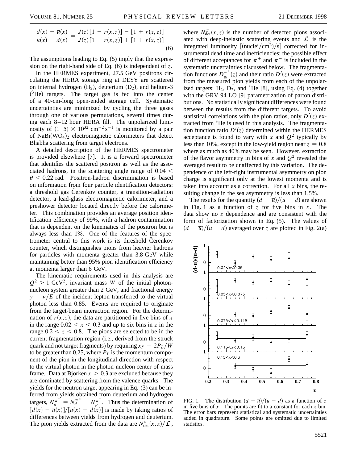$$
\frac{\overline{d}(x) - \overline{u}(x)}{u(x) - d(x)} = \frac{J(z)\left[1 - r(x, z)\right] - \left[1 + r(x, z)\right]}{J(z)\left[1 - r(x, z)\right] + \left[1 + r(x, z)\right]}.
$$
\n(6)

The assumptions leading to Eq. (5) imply that the expression on the right-hand side of Eq. (6) is independent of *z*.

In the HERMES experiment, 27.5 GeV positrons circulating the HERA storage ring at DESY are scattered on internal hydrogen  $(H_2)$ , deuterium  $(D_2)$ , and helium-3  $(3$ He) targets. The target gas is fed into the center of a 40-cm-long open-ended storage cell. Systematic uncertainties are minimized by cycling the three gases through one of various permutations, several times during each 8–12 hour HERA fill. The unpolarized luminosity of  $(1-5) \times 10^{32}$  cm<sup>-2</sup> s<sup>-1</sup> is monitored by a pair of NaBi $(WO_4)_2$  electromagnetic calorimeters that detect Bhabha scattering from target electrons.

A detailed description of the HERMES spectrometer is provided elsewhere [7]. It is a forward spectrometer that identifies the scattered positron as well as the associated hadrons, in the scattering angle range of  $0.04 <$  $\theta$  < 0.22 rad. Positron-hadron discrimination is based on information from four particle identification detectors: a threshold gas Cerenkov counter, a transition-radiation detector, a lead-glass electromagnetic calorimeter, and a preshower detector located directly before the calorimeter. This combination provides an average position identification efficiency of 99%, with a hadron contamination that is dependent on the kinematics of the positron but is always less than 1%. One of the features of the spectrometer central to this work is its threshold Cerenkov counter, which distinguishes pions from heavier hadrons for particles with momenta greater than 3.8 GeV while maintaining better than 95% pion identification efficiency at momenta larger than 6 GeV.

The kinematic requirements used in this analysis are  $Q^2 > 1$  GeV<sup>2</sup>, invariant mass *W* of the initial photonnucleon system greater than 2 GeV, and fractional energy  $y = \nu/E$  of the incident lepton transferred to the virtual photon less than 0.85. Events are required to originate from the target-beam interaction region. For the determination of  $r(x, z)$ , the data are partitioned in five bins of x in the range  $0.02 < x < 0.3$  and up to six bins in *z* in the range  $0.2 < z < 0.8$ . The pions are selected to be in the current fragmentation region (i.e., derived from the struck quark and not target fragments) by requiring  $x_F = 2P_L/W$ to be greater than 0.25, where  $P_L$  is the momentum component of the pion in the longitudinal direction with respect to the virtual photon in the photon-nucleon center-of-mass frame. Data at Bjorken  $x > 0.3$  are excluded because they are dominated by scattering from the valence quarks. The yields for the neutron target appearing in Eq. (3) can be inferred from yields obtained from deuterium and hydrogen targets,  $N_n^{\pi^{\pm}} = N_d^{\pi^{\pm}} - N_p^{\pi^{\pm}}$ . Thus the determination of  $\left[\overline{d}(x) - \overline{u}(x)\right] / \left[u(x) - d(x)\right]$  is made by taking ratios of differences between yields from hydrogen and deuterium. The pion yields extracted from the data are  $N_{\text{det}}^{\pi}(x, z)/\mathcal{L}$ ,

where  $N_{\text{det}}^{\pi}(x, z)$  is the number of detected pions associated with deep-inelastic scattering events and  $\mathcal{L}$  is the integrated luminosity  $\left[\frac{\text{(nuclei/cm^2}}{\text{S}}\right]$  corrected for instrumental dead time and inefficiencies; the possible effect of different acceptances for  $\pi^+$  and  $\pi^-$  is included in the systematic uncertainties discussed below. The fragmentation functions  $D_{q_i}^{\pi^{\pm}}(z)$  and their ratio  $D'(z)$  were extracted from the measured pion yields from each of the unpolarized targets:  $H_2$ ,  $D_2$ , and <sup>3</sup>He [8], using Eq. (4) together with the GRV 94 LO [9] parametrization of parton distributions. No statistically significant differences were found between the results from the different targets. To avoid statistical correlations with the pion ratios, only  $D'(z)$  extracted from <sup>3</sup>He is used in this analysis. The fragmentation function ratio  $D'(z)$  determined within the HERMES acceptance is found to vary with *x* and  $Q^2$  typically by less than 10%, except in the low-yield region near  $z = 0.8$ where as much as 40% may be seen. However, extraction of the flavor asymmetry in bins of x and  $Q^2$  revealed the averaged result to be unaffected by this variation. The dependence of the left-right instrumental asymmetry on pion charge is significant only at the lowest momenta and is taken into account as a correction. For all *x* bins, the resulting change in the sea asymmetry is less than 1.5%.

The results for the quantity  $(\overline{d} - \overline{u})/(u - d)$  are shown in Fig. 1 as a function of *z* for five bins in *x*. The data show no *z* dependence and are consistent with the form of factorization shown in Eq. (5). The values of  $\frac{d\overline{d}}{dt} - \overline{u}$  *u* - *d*) averaged over *z* are plotted in Fig. 2(a)



FIG. 1. The distribution  $(\overline{d} - \overline{u})/(u - d)$  as a function of z in five bins of *x*. The points are fit to a constant for each *x* bin. The error bars represent statistical and systematic uncertainties added in quadrature. Some points are omitted due to limited statistics.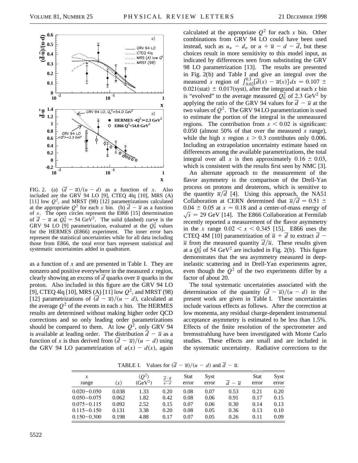

FIG. 2. (a)  $(\overline{d} - \overline{u})/(u - d)$  as a function of *x*. Also included are the GRV 94 LO [9], CTEQ 4lq [10], MRS (A) [11] low  $Q^2$ , and MRST (98) [12] parametrizations calculated at the appropriate  $Q^2$  for each *x* bin. (b)  $\overline{d} - \overline{u}$  as a function of *x*. The open circles represent the E866 [15] determination of  $\overline{d} - \overline{u}$  at  $Q_0^2 = 54$  GeV<sup>2</sup>. The solid (dashed) curve is the GRV 94 LO [9] parametrization, evaluated at the  $Q_0^2$  values for the HERMES (E866) experiment. The inner error bars represent the statistical uncertainties while for all data including those from E866, the total error bars represent statistical and systematic uncertainties added in quadrature.

as a function of *x* and are presented in Table I. They are nonzero and positive everywhere in the measured *x* region, clearly showing an excess of  $\overline{d}$  quarks over  $\overline{u}$  quarks in the proton. Also included in this figure are the GRV 94 LO [9], CTEQ 4lq [10], MRS (A) [11] low  $Q^2$ , and MRST (98) [12] parametrizations of  $(\overline{d} - \overline{u})/(u - d)$ , calculated at the average  $Q^2$  of the events in each x bin. The HERMES results are determined without making higher order QCD corrections and so only leading order parametrizations should be compared to them. At low  $Q^2$ , only GRV 94 is available at leading order. The distribution  $\overline{d} - \overline{u}$  as a function of *x* is thus derived from  $(\overline{d} - \overline{u})/(u - d)$  using the GRV 94 LO parametrization of  $u(x) - d(x)$ , again calculated at the appropriate  $Q^2$  for each *x* bin. Other combinations from GRV 94 LO could have been used instead, such as  $u_v - d_v$  or  $u + \overline{u} - d - \overline{d}$ , but these choices result in more sensitivity to this model input, as indicated by differences seen from substituting the GRV 98 LO parametrization [13]. The results are presented in Fig. 2(b) and Table I and give an integral over the measured *x* region of  $\int_{0.02}^{0.3} [\overline{d}(x) - \overline{u}(x)] dx = 0.107 \pm \overline{d}$  $0.021$ (stat)  $\pm 0.017$ (syst), after the integrand at each *x* bin is "evolved" to the average measured  $Q_0^2$  of 2.3 GeV<sup>2</sup> by applying the ratio of the GRV 94 values for  $\overline{d} - \overline{u}$  at the two values of  $Q^2$ . The GRV 94 LO parametrization is used to estimate the portion of the integral in the unmeasured regions. The contribution from  $x < 0.02$  is significant: 0.050 (almost 50% of that over the measured  $x$  range), while the high *x* region  $x > 0.3$  contributes only 0.006. Including an extrapolation uncertainty estimate based on differences among the available parametrizations, the total integral over all x is then approximately  $0.16 \pm 0.03$ , which is consistent with the results first seen by NMC [3].

An alternate approach to the measurement of the flavor asymmetry is the comparison of the Drell-Yan process on protons and deuterons, which is sensitive to the quantity  $\overline{u}/\overline{d}$  [4]. Using this approach, the NA51 Collaboration at CERN determined that  $\overline{u}/\overline{d} = 0.51 \pm 0.51$  $0.04 \pm 0.05$  at  $x = 0.18$  and a center-of-mass energy of  $\sqrt{s}$  = 29 GeV [14]. The E866 Collaboration at Fermilab recently reported a measurement of the flavor asymmetry in the *x* range  $0.02 < x < 0.345$  [15]. E866 uses the CTEQ 4M [10] parametrization of  $\overline{u}$  + *d* to extract *d* - $\overline{u}$  from the measured quantity  $\overline{d}/\overline{u}$ . These results given at a  $Q_0^2$  of 54 GeV<sup>2</sup> are included in Fig. 2(b). This figure demonstrates that the sea asymmetry measured in deepinelastic scattering and in Drell-Yan experiments agree, even though the  $Q^2$  of the two experiments differ by a factor of about 20.

The total systematic uncertainties associated with the determination of the quantity  $(\overline{d} - \overline{u})/(u - d)$  in the present work are given in Table I. These uncertainties include various effects as follows. After the correction at low momenta, any residual charge-dependent instrumental acceptance asymmetry is estimated to be less than 1.5%. Effects of the finite resolution of the spectrometer and bremsstrahlung have been investigated with Monte Carlo studies. These effects are small and are included in the systematic uncertainty. Radiative corrections to the

*x*  $\langle Q^2 \rangle$   $\bar{d} = \bar{u}$  Stat Syst Stat Syst range  $\langle x \rangle$   $(GeV^2)$  $\frac{\overline{d}-\overline{u}}{u-d}$ error error  $\overline{d} - \overline{u}$  error error 0.020 0.050 0.038 1.33 0.20 0.08 0.07 0.53 0.21 0.20 0.050 0.075 0.062 1.82 0.42 0.08 0.06 0.91 0.17 0.15 0.075 0.115 0.092 2.52 0.15 0.07 0.06 0.30 0.14 0.13 0.115 0.150 0.131 3.38 0.20 0.08 0.05 0.36 0.13 0.10 0.150 0.300 0.198 4.88 0.17 0.07 0.05 0.26 0.11 0.09

**TABLE I.** Values for  $(\overline{d} - \overline{u})/(u - d)$  and  $\overline{d} - \overline{u}$ .